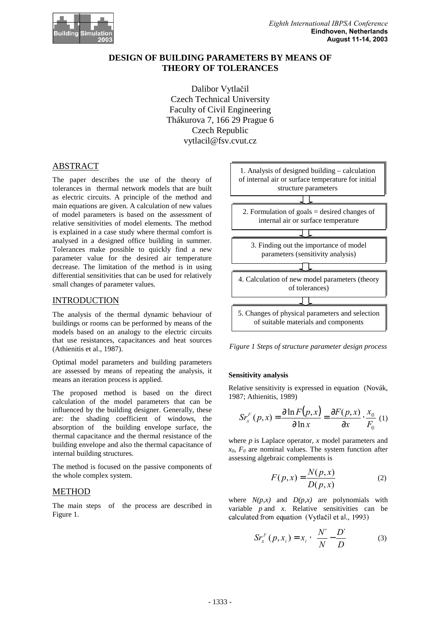

# **DESIGN OF BUILDING PARAMETERS BY MEANS OF THEORY OF TOLERANCES**

Dalibor Vytlačil Czech Technical University Faculty of Civil Engineering Thákurova 7, 166 29 Prague 6 Czech Republic vytlacil@fsv.cvut.cz

# ABSTRACT

The paper describes the use of the theory of tolerances in thermal network models that are built as electric circuits. A principle of the method and main equations are given. A calculation of new values of model parameters is based on the assessment of relative sensitivities of model elements. The method is explained in a case study where thermal comfort is analysed in a designed office building in summer. Tolerances make possible to quickly find a new parameter value for the desired air temperature decrease. The limitation of the method is in using differential sensitivities that can be used for relatively small changes of parameter values.

### INTRODUCTION

The analysis of the thermal dynamic behaviour of buildings or rooms can be performed by means of the models based on an analogy to the electric circuits that use resistances, capacitances and heat sources (Athienitis et al., 1987).

Optimal model parameters and building parameters are assessed by means of repeating the analysis, it means an iteration process is applied.

The proposed method is based on the direct calculation of the model parameters that can be influenced by the building designer. Generally, these are: the shading coefficient of windows, the absorption of the building envelope surface, the thermal capacitance and the thermal resistance of the building envelope and also the thermal capacitance of internal building structures.

The method is focused on the passive components of the whole complex system.

### METHOD

The main steps of the process are described in Figure 1.



*Figure 1 Steps of structure parameter design process*

### **Sensitivity analysis**

Relative sensitivity is expressed in equation (Novák, 1987; Athienitis, 1989)

$$
Sr_x^F(p, x) = \frac{\partial \ln F(p, x)}{\partial \ln x} = \frac{\partial F(p, x)}{\partial x} \cdot \frac{x_0}{F_0} \tag{1}
$$

where *p* is Laplace operator, *x* model parameters and  $x_0$ ,  $F_0$  are nominal values. The system function after assessing algebraic complements is

$$
F(p,x) = \frac{N(p,x)}{D(p,x)}\tag{2}
$$

where  $N(p,x)$  and  $D(p,x)$  are polynomials with variable  $p$  and  $x$ . Relative sensitivities can be 

$$
SrxF (p, xi) = xi \cdot \left(\frac{N'}{N} - \frac{D'}{D}\right)
$$
 (3)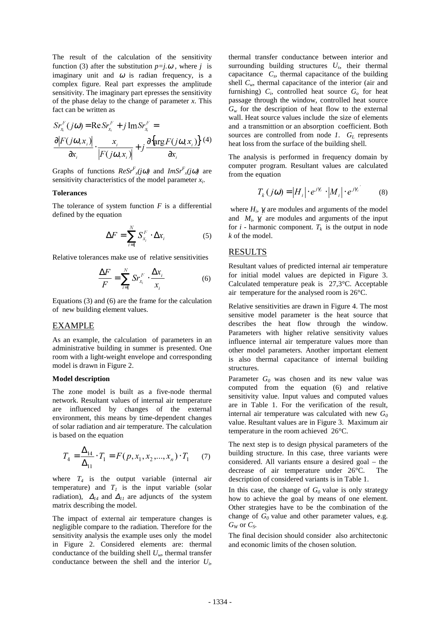The result of the calculation of the sensitivity function (3) after the substitution  $p=i.\omega$ , where *j* is imaginary unit and  $\omega$  is radian frequency, is a complex figure. Real part expresses the amplitude sensitivity. The imaginary part epresses the sensitivity of the phase delay to the change of parameter *x*. This fact can be written as

$$
Sr_{x_i}^F(j\omega) = \text{Re} Sr_{x_i}^F + j \text{Im} Sr_{x_i}^F =
$$
  

$$
\frac{\partial |F(j\omega, x_i)|}{\partial x_i} \cdot \frac{x_i}{|F(j\omega, x_i)|} + j \frac{\partial {\arg F(j\omega, x_i)}}{\partial x_i} (4)
$$

Graphs of functions  $Resr^{F}(j\omega)$  and  $ImSr^{F}(j\omega)$  are sensitivity characteristics of the model parameter *x<sup>i</sup>* .

#### **Tolerances**

The tolerance of system function  $F$  is a differential defined by the equation

$$
\Delta F = \sum_{i=1}^{N} S_{x_i}^F \cdot \Delta x_i \tag{5}
$$

Relative tolerances make use of relative sensitivities

$$
\frac{\Delta F}{F} = \sum_{i=1}^{N} S r_{x_i}^F \cdot \frac{\Delta x_i}{x_i} \tag{6}
$$

Equations (3) and (6) are the frame for the calculation of new building element values.

### EXAMPLE

As an example, the calculation of parameters in an administrative building in summer is presented. One room with a light-weight envelope and corresponding model is drawn in Figure 2.

#### **Model description**

The zone model is built as a five-node thermal network. Resultant values of internal air temperature are influenced by changes of the external environment, this means by time-dependent changes of solar radiation and air temperature. The calculation is based on the equation

$$
T_4 = \frac{\Delta_{14}}{\Delta_{11}} \cdot T_1 = F(p, x_1, x_2, \dots, x_n) \cdot T_1 \tag{7}
$$

where  $T_4$  is the output variable (internal air temperature) and  $T_I$  is the input variable (solar radiation),  $\Delta_{14}$  and  $\Delta_{11}$  are adjuncts of the system matrix describing the model.

The impact of external air temperature changes is negligible compare to the radiation. Therefore for the sensitivity analysis the example uses only the model in Figure 2. Considered elements are: thermal conductance of the building shell  $U_w$ , thermal transfer conductance between the shell and the interior *U<sup>i</sup>* ,

thermal transfer conductance between interior and surrounding building structures  $U_s$ , their thermal capacitance *C<sup>s</sup>* , thermal capacitance of the building shell  $C_w$ , thermal capacitance of the interior (air and furnishing) *C<sup>i</sup>* , controlled heat source *G<sup>o</sup>* for heat passage through the window, controlled heat source  $G_w$  for the description of heat flow to the external wall. Heat source values include the size of elements and a transmittion or an absorption coefficient. Both sources are controlled from node *1*. *G<sup>L</sup>* represents heat loss from the surface of the building shell.

The analysis is performed in frequency domain by computer program. Resultant values are calculated from the equation

$$
T_k(j\omega) = |H_i| \cdot e^{j\gamma_i} \cdot |M_i| \cdot e^{j\gamma_i} \tag{8}
$$

where  $H_i$ ,  $\gamma_i$  are modules and arguments of the model and  $M_i$ ,  $\gamma'_i$  are modules and arguments of the input for  $i$  - harmonic component.  $T_k$  is the output in node *k* of the model.

## RESULTS

Resultant values of predicted internal air temperature for initial model values are depicted in Figure 3. Calculated temperature peak is 27,3°C. Acceptable air temperature for the analysed room is 26°C.

Relative sensitivities are drawn in Figure 4. The most sensitive model parameter is the heat source that describes the heat flow through the window. Parameters with higher relative sensitivity values influence internal air temperature values more than other model parameters. Another important element is also thermal capacitance of internal building structures.

Parameter  $G_0$  was chosen and its new value was computed from the equation (6) and relative sensitivity value. Input values and computed values are in Table 1. For the verification of the result, internal air temperature was calculated with new *G<sup>0</sup>* value. Resultant values are in Figure 3. Maximum air temperature in the room achieved 26°C.

The next step is to design physical parameters of the building structure. In this case, three variants were considered. All variants ensure a desired goal – the decrease of air temperature under 26°C. The description of considered variants is in Table 1.

In this case, the change of  $G_0$  value is only strategy how to achieve the goal by means of one element. Other strategies have to be the combination of the change of *G0* value and other parameter values, e.g.  $G_W$  or  $C_S$ *.* 

The final decision should consider also architectonic and economic limits of the chosen solution.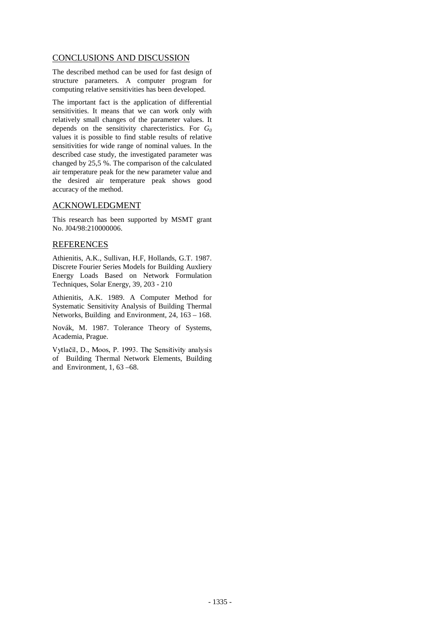# CONCLUSIONS AND DISCUSSION

The described method can be used for fast design of structure parameters. A computer program for computing relative sensitivities has been developed.

The important fact is the application of differential sensitivities. It means that we can work only with relatively small changes of the parameter values. It depends on the sensitivity charecteristics. For *G<sup>0</sup>* values it is possible to find stable results of relative sensitivities for wide range of nominal values. In the described case study, the investigated parameter was changed by 25,5 %. The comparison of the calculated air temperature peak for the new parameter value and the desired air temperature peak shows good accuracy of the method.

## ACKNOWLEDGMENT

This research has been supported by MSMT grant No. J04/98:210000006.

# REFERENCES

Athienitis, A.K., Sullivan, H.F, Hollands, G.T. 1987. Discrete Fourier Series Models for Building Auxliery Energy Loads Based on Network Formulation Techniques, Solar Energy, 39, 203 - 210

Athienitis, A.K. 1989. A Computer Method for Systematic Sensitivity Analysis of Building Thermal Networks, Building and Environment, 24, 163 – 168.

Novák, M. 1987. Tolerance Theory of Systems, Academia, Prague.

-  -  of Building Thermal Network Elements, Building and Environment, 1, 63 –68.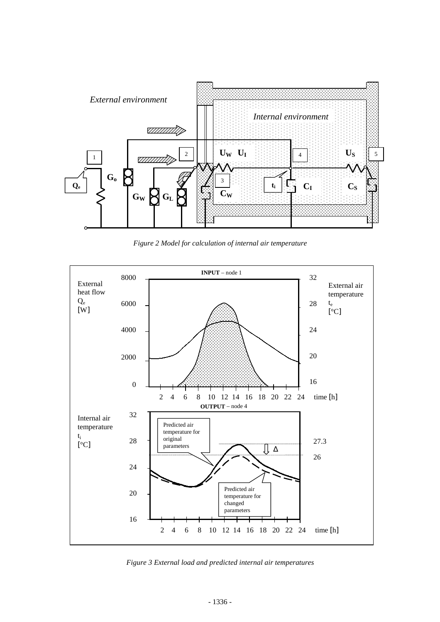

*Figure 2 Model for calculation of internal air temperature*



*Figure 3 External load and predicted internal air temperatures*